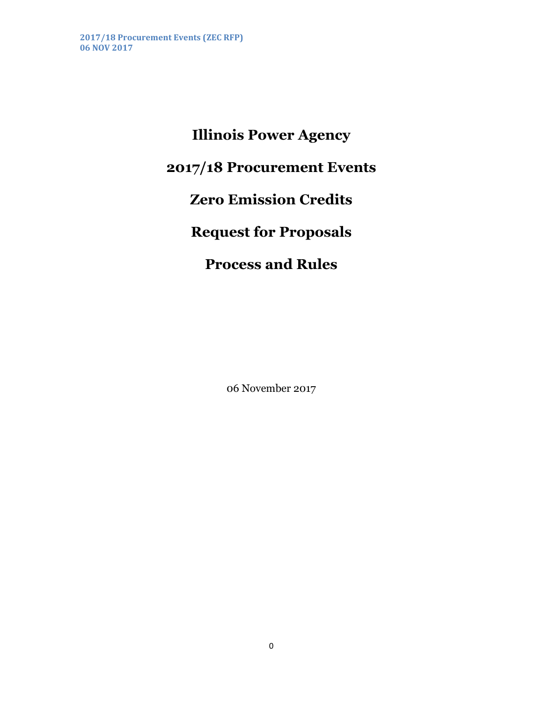**Illinois Power Agency 2017/18 Procurement Events Zero Emission Credits Request for Proposals Process and Rules**

06 November 2017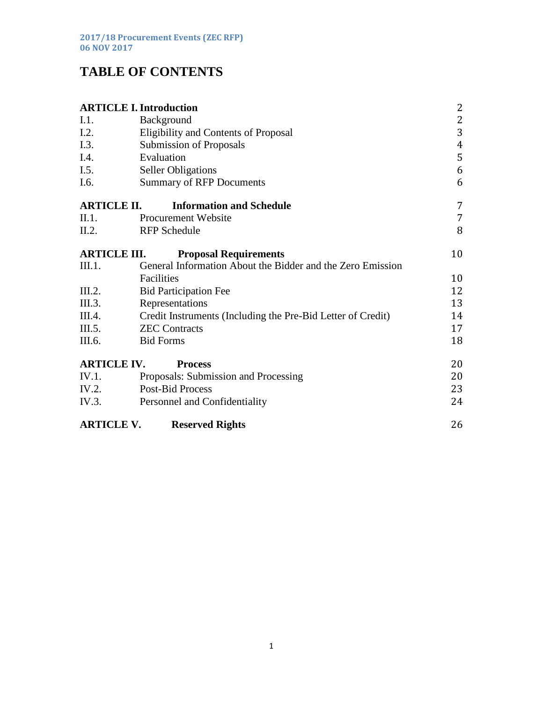# **TABLE OF CONTENTS**

| <b>ARTICLE I. Introduction</b> |                                                             |    |
|--------------------------------|-------------------------------------------------------------|----|
| I.1.                           | Background                                                  | 2  |
| I.2.                           | <b>Eligibility and Contents of Proposal</b>                 | 3  |
| I.3.                           | <b>Submission of Proposals</b>                              | 4  |
| I.4.                           | Evaluation                                                  | 5  |
| I.5.                           | <b>Seller Obligations</b>                                   | 6  |
| I.6.                           | <b>Summary of RFP Documents</b>                             | 6  |
| <b>ARTICLE II.</b>             | <b>Information and Schedule</b>                             | 7  |
| II.1.                          | <b>Procurement Website</b>                                  | 7  |
| II.2.                          | <b>RFP</b> Schedule                                         | 8  |
| <b>ARTICLE III.</b>            | <b>Proposal Requirements</b>                                | 10 |
| III.1.                         | General Information About the Bidder and the Zero Emission  |    |
|                                | Facilities                                                  | 10 |
| III.2.                         | <b>Bid Participation Fee</b>                                | 12 |
| III.3.                         | Representations                                             | 13 |
| III.4.                         | Credit Instruments (Including the Pre-Bid Letter of Credit) | 14 |
| III.5.                         | <b>ZEC Contracts</b>                                        | 17 |
| III.6.                         | <b>Bid Forms</b>                                            | 18 |
| <b>ARTICLE IV.</b>             | <b>Process</b>                                              | 20 |
| IV.1.                          | Proposals: Submission and Processing                        | 20 |
| IV.2.                          | <b>Post-Bid Process</b>                                     | 23 |
| IV.3.                          | Personnel and Confidentiality                               | 24 |
| <b>ARTICLE V.</b>              | <b>Reserved Rights</b>                                      | 26 |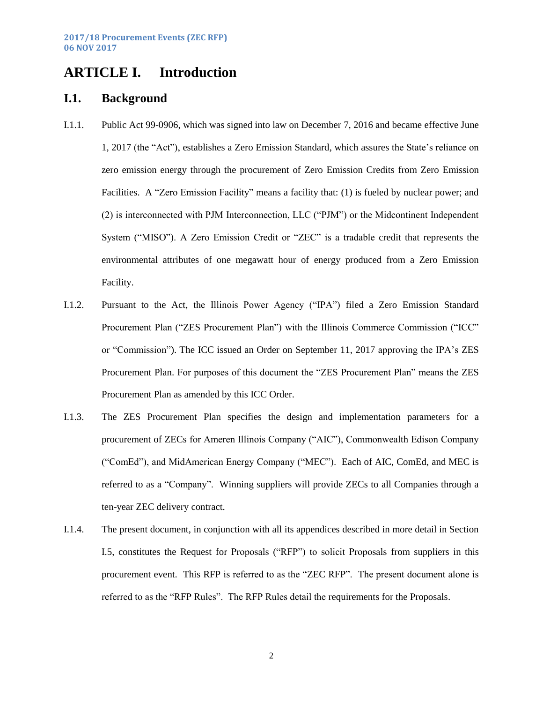# <span id="page-2-0"></span>**ARTICLE I. Introduction**

#### <span id="page-2-1"></span>**I.1. Background**

- I.1.1. Public Act 99-0906, which was signed into law on December 7, 2016 and became effective June 1, 2017 (the "Act"), establishes a Zero Emission Standard, which assures the State's reliance on zero emission energy through the procurement of Zero Emission Credits from Zero Emission Facilities. A "Zero Emission Facility" means a facility that: (1) is fueled by nuclear power; and (2) is interconnected with PJM Interconnection, LLC ("PJM") or the Midcontinent Independent System ("MISO"). A Zero Emission Credit or "ZEC" is a tradable credit that represents the environmental attributes of one megawatt hour of energy produced from a Zero Emission Facility.
- I.1.2. Pursuant to the Act, the Illinois Power Agency ("IPA") filed a Zero Emission Standard Procurement Plan ("ZES Procurement Plan") with the Illinois Commerce Commission ("ICC" or "Commission"). The ICC issued an Order on September 11, 2017 approving the IPA's ZES Procurement Plan. For purposes of this document the "ZES Procurement Plan" means the ZES Procurement Plan as amended by this ICC Order.
- I.1.3. The ZES Procurement Plan specifies the design and implementation parameters for a procurement of ZECs for Ameren Illinois Company ("AIC"), Commonwealth Edison Company ("ComEd"), and MidAmerican Energy Company ("MEC"). Each of AIC, ComEd, and MEC is referred to as a "Company". Winning suppliers will provide ZECs to all Companies through a ten-year ZEC delivery contract.
- I.1.4. The present document, in conjunction with all its appendices described in more detail in Section [I.5,](#page-6-0) constitutes the Request for Proposals ("RFP") to solicit Proposals from suppliers in this procurement event. This RFP is referred to as the "ZEC RFP". The present document alone is referred to as the "RFP Rules". The RFP Rules detail the requirements for the Proposals.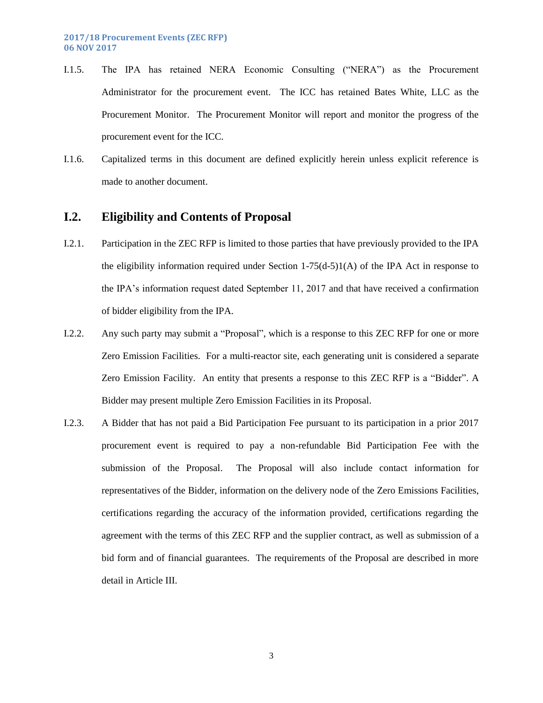- I.1.5. The IPA has retained NERA Economic Consulting ("NERA") as the Procurement Administrator for the procurement event. The ICC has retained Bates White, LLC as the Procurement Monitor. The Procurement Monitor will report and monitor the progress of the procurement event for the ICC.
- I.1.6. Capitalized terms in this document are defined explicitly herein unless explicit reference is made to another document.

## <span id="page-3-0"></span>**I.2. Eligibility and Contents of Proposal**

- I.2.1. Participation in the ZEC RFP is limited to those parties that have previously provided to the IPA the eligibility information required under Section 1-75(d-5)1(A) of the IPA Act in response to the IPA's information request dated September 11, 2017 and that have received a confirmation of bidder eligibility from the IPA.
- I.2.2. Any such party may submit a "Proposal", which is a response to this ZEC RFP for one or more Zero Emission Facilities. For a multi-reactor site, each generating unit is considered a separate Zero Emission Facility. An entity that presents a response to this ZEC RFP is a "Bidder". A Bidder may present multiple Zero Emission Facilities in its Proposal.
- I.2.3. A Bidder that has not paid a Bid Participation Fee pursuant to its participation in a prior 2017 procurement event is required to pay a non-refundable Bid Participation Fee with the submission of the Proposal. The Proposal will also include contact information for representatives of the Bidder, information on the delivery node of the Zero Emissions Facilities, certifications regarding the accuracy of the information provided, certifications regarding the agreement with the terms of this ZEC RFP and the supplier contract, as well as submission of a bid form and of financial guarantees. The requirements of the Proposal are described in more detail in [Article III.](#page-10-0)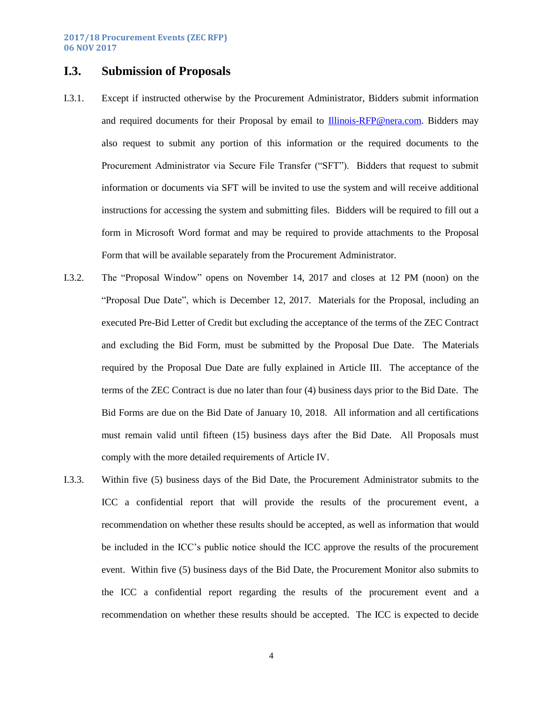## <span id="page-4-0"></span>**I.3. Submission of Proposals**

- I.3.1. Except if instructed otherwise by the Procurement Administrator, Bidders submit information and required documents for their Proposal by email to [Illinois-RFP@nera.com.](mailto:Illinois-RFP@nera.com) Bidders may also request to submit any portion of this information or the required documents to the Procurement Administrator via Secure File Transfer ("SFT"). Bidders that request to submit information or documents via SFT will be invited to use the system and will receive additional instructions for accessing the system and submitting files. Bidders will be required to fill out a form in Microsoft Word format and may be required to provide attachments to the Proposal Form that will be available separately from the Procurement Administrator.
- I.3.2. The "Proposal Window" opens on November 14, 2017 and closes at 12 PM (noon) on the "Proposal Due Date", which is December 12, 2017. Materials for the Proposal, including an executed Pre-Bid Letter of Credit but excluding the acceptance of the terms of the ZEC Contract and excluding the Bid Form, must be submitted by the Proposal Due Date. The Materials required by the Proposal Due Date are fully explained in [Article III.](#page-10-0) The acceptance of the terms of the ZEC Contract is due no later than four (4) business days prior to the Bid Date. The Bid Forms are due on the Bid Date of January 10, 2018. All information and all certifications must remain valid until fifteen (15) business days after the Bid Date. All Proposals must comply with the more detailed requirements of Article IV.
- I.3.3. Within five (5) business days of the Bid Date, the Procurement Administrator submits to the ICC a confidential report that will provide the results of the procurement event, a recommendation on whether these results should be accepted, as well as information that would be included in the ICC's public notice should the ICC approve the results of the procurement event. Within five (5) business days of the Bid Date, the Procurement Monitor also submits to the ICC a confidential report regarding the results of the procurement event and a recommendation on whether these results should be accepted. The ICC is expected to decide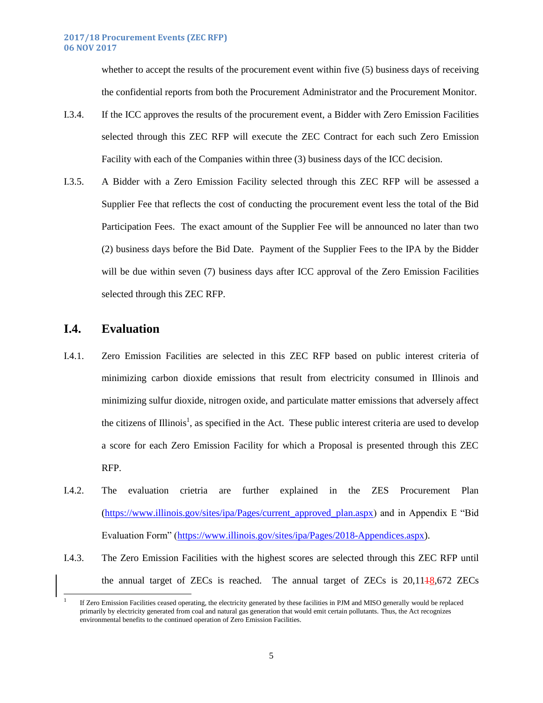whether to accept the results of the procurement event within five (5) business days of receiving the confidential reports from both the Procurement Administrator and the Procurement Monitor.

- I.3.4. If the ICC approves the results of the procurement event, a Bidder with Zero Emission Facilities selected through this ZEC RFP will execute the ZEC Contract for each such Zero Emission Facility with each of the Companies within three (3) business days of the ICC decision.
- I.3.5. A Bidder with a Zero Emission Facility selected through this ZEC RFP will be assessed a Supplier Fee that reflects the cost of conducting the procurement event less the total of the Bid Participation Fees. The exact amount of the Supplier Fee will be announced no later than two (2) business days before the Bid Date. Payment of the Supplier Fees to the IPA by the Bidder will be due within seven (7) business days after ICC approval of the Zero Emission Facilities selected through this ZEC RFP.

### **I.4. Evaluation**

 $\overline{a}$ 

- I.4.1. Zero Emission Facilities are selected in this ZEC RFP based on public interest criteria of minimizing carbon dioxide emissions that result from electricity consumed in Illinois and minimizing sulfur dioxide, nitrogen oxide, and particulate matter emissions that adversely affect the citizens of Illinois<sup>1</sup>, as specified in the Act. These public interest criteria are used to develop a score for each Zero Emission Facility for which a Proposal is presented through this ZEC RFP.
- I.4.2. The evaluation crietria are further explained in the ZES Procurement Plan [\(https://www.illinois.gov/sites/ipa/Pages/current\\_approved\\_plan.aspx\)](https://www.illinois.gov/sites/ipa/Pages/current_approved_plan.aspx) and in Appendix E "Bid Evaluation Form" [\(https://www.illinois.gov/sites/ipa/Pages/2018-Appendices.aspx\)](https://www.illinois.gov/sites/ipa/Pages/2018-Appendices.aspx).
- I.4.3. The Zero Emission Facilities with the highest scores are selected through this ZEC RFP until the annual target of ZECs is reached. The annual target of ZECs is  $20,1118,672$  ZECs

<sup>1</sup> If Zero Emission Facilities ceased operating, the electricity generated by these facilities in PJM and MISO generally would be replaced primarily by electricity generated from coal and natural gas generation that would emit certain pollutants. Thus, the Act recognizes environmental benefits to the continued operation of Zero Emission Facilities.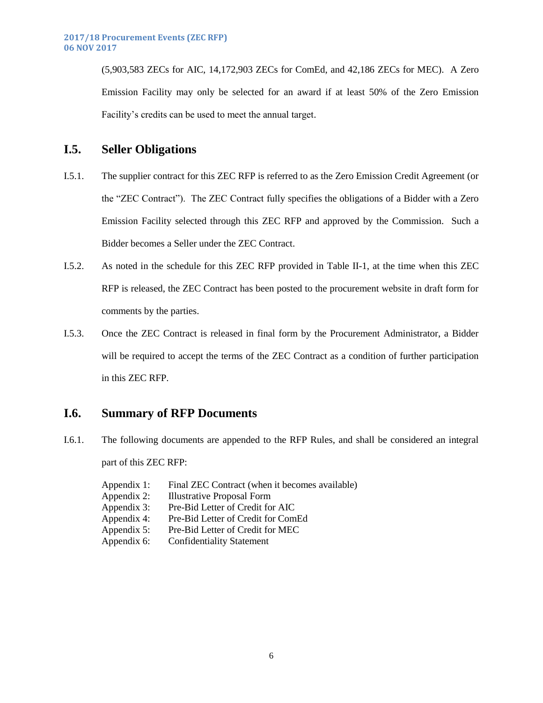(5,903,583 ZECs for AIC, 14,172,903 ZECs for ComEd, and 42,186 ZECs for MEC). A Zero Emission Facility may only be selected for an award if at least 50% of the Zero Emission Facility's credits can be used to meet the annual target.

#### <span id="page-6-0"></span>**I.5. Seller Obligations**

- I.5.1. The supplier contract for this ZEC RFP is referred to as the Zero Emission Credit Agreement (or the "ZEC Contract"). The ZEC Contract fully specifies the obligations of a Bidder with a Zero Emission Facility selected through this ZEC RFP and approved by the Commission. Such a Bidder becomes a Seller under the ZEC Contract.
- I.5.2. As noted in the schedule for this ZEC RFP provided in Table II-1, at the time when this ZEC RFP is released, the ZEC Contract has been posted to the procurement website in draft form for comments by the parties.
- I.5.3. Once the ZEC Contract is released in final form by the Procurement Administrator, a Bidder will be required to accept the terms of the ZEC Contract as a condition of further participation in this ZEC RFP.

## <span id="page-6-1"></span>**I.6. Summary of RFP Documents**

- I.6.1. The following documents are appended to the RFP Rules, and shall be considered an integral part of this ZEC RFP:
	- Appendix 1: Final ZEC Contract (when it becomes available) Appendix 2: Illustrative Proposal Form Appendix 3: Pre-Bid Letter of Credit for AIC Appendix 4: Pre-Bid Letter of Credit for ComEd Appendix 5: Pre-Bid Letter of Credit for MEC Appendix 6: Confidentiality Statement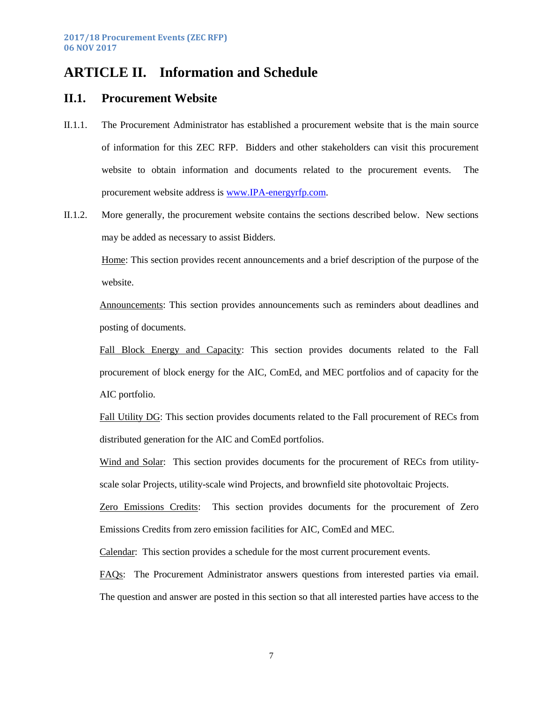# <span id="page-7-0"></span>**ARTICLE II. Information and Schedule**

#### <span id="page-7-1"></span>**II.1. Procurement Website**

- II.1.1. The Procurement Administrator has established a procurement website that is the main source of information for this ZEC RFP. Bidders and other stakeholders can visit this procurement website to obtain information and documents related to the procurement events. The procurement website address is [www.IPA-energyrfp.com.](http://www.ipa-energyrfp.com/)
- II.1.2. More generally, the procurement website contains the sections described below. New sections may be added as necessary to assist Bidders.

Home: This section provides recent announcements and a brief description of the purpose of the website.

Announcements: This section provides announcements such as reminders about deadlines and posting of documents.

Fall Block Energy and Capacity: This section provides documents related to the Fall procurement of block energy for the AIC, ComEd, and MEC portfolios and of capacity for the AIC portfolio.

Fall Utility DG: This section provides documents related to the Fall procurement of RECs from distributed generation for the AIC and ComEd portfolios.

Wind and Solar: This section provides documents for the procurement of RECs from utilityscale solar Projects, utility-scale wind Projects, and brownfield site photovoltaic Projects.

Zero Emissions Credits: This section provides documents for the procurement of Zero Emissions Credits from zero emission facilities for AIC, ComEd and MEC.

Calendar: This section provides a schedule for the most current procurement events.

FAQs: The Procurement Administrator answers questions from interested parties via email. The question and answer are posted in this section so that all interested parties have access to the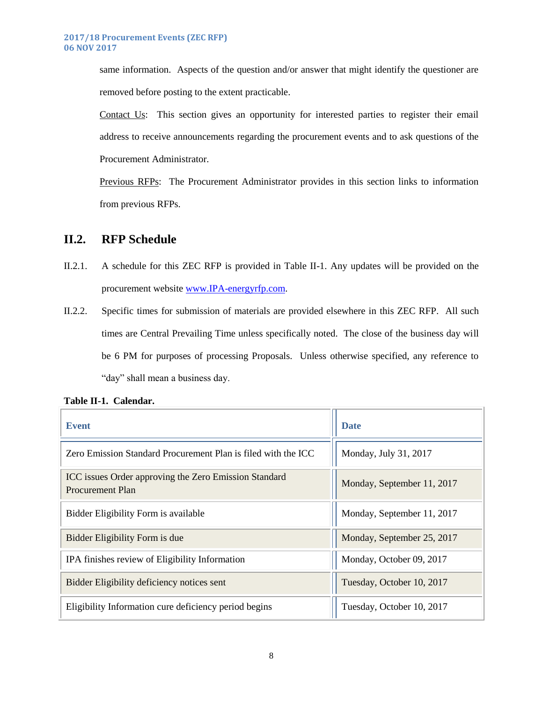same information. Aspects of the question and/or answer that might identify the questioner are removed before posting to the extent practicable.

Contact Us: This section gives an opportunity for interested parties to register their email address to receive announcements regarding the procurement events and to ask questions of the Procurement Administrator.

Previous RFPs: The Procurement Administrator provides in this section links to information from previous RFPs.

# <span id="page-8-0"></span>**II.2. RFP Schedule**

- II.2.1. A schedule for this ZEC RFP is provided in Table II-1. Any updates will be provided on the procurement website [www.IPA-energyrfp.com.](http://www.ipa-energyrfp.com/)
- II.2.2. Specific times for submission of materials are provided elsewhere in this ZEC RFP. All such times are Central Prevailing Time unless specifically noted. The close of the business day will be 6 PM for purposes of processing Proposals. Unless otherwise specified, any reference to "day" shall mean a business day.

| <b>Event</b>                                                                     | <b>Date</b>                |
|----------------------------------------------------------------------------------|----------------------------|
| Zero Emission Standard Procurement Plan is filed with the ICC                    | Monday, July 31, 2017      |
| ICC issues Order approving the Zero Emission Standard<br><b>Procurement Plan</b> | Monday, September 11, 2017 |
| Bidder Eligibility Form is available                                             | Monday, September 11, 2017 |
| Bidder Eligibility Form is due                                                   | Monday, September 25, 2017 |
| IPA finishes review of Eligibility Information                                   | Monday, October 09, 2017   |
| Bidder Eligibility deficiency notices sent                                       | Tuesday, October 10, 2017  |
| Eligibility Information cure deficiency period begins                            | Tuesday, October 10, 2017  |

**Table II-1. Calendar.**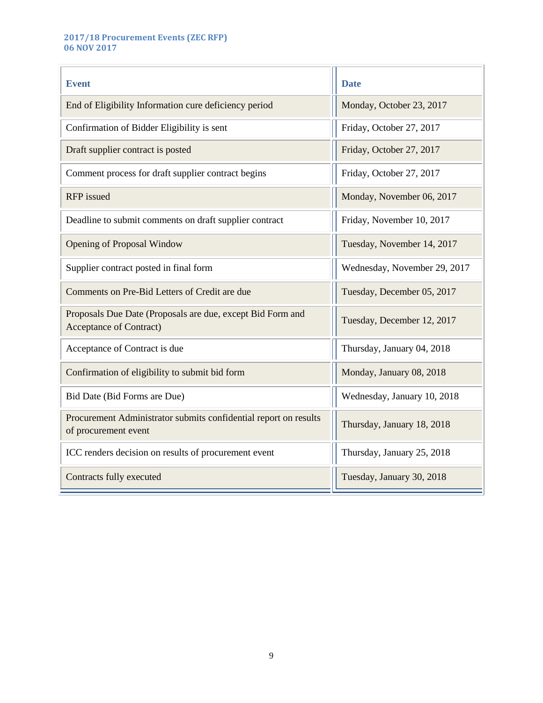#### **2017/18 Procurement Events (ZEC RFP) 06 NOV 2017**

| <b>Event</b>                                                                                 | <b>Date</b>                  |  |
|----------------------------------------------------------------------------------------------|------------------------------|--|
| End of Eligibility Information cure deficiency period                                        | Monday, October 23, 2017     |  |
| Confirmation of Bidder Eligibility is sent                                                   | Friday, October 27, 2017     |  |
| Draft supplier contract is posted                                                            | Friday, October 27, 2017     |  |
| Comment process for draft supplier contract begins                                           | Friday, October 27, 2017     |  |
| <b>RFP</b> issued                                                                            | Monday, November 06, 2017    |  |
| Deadline to submit comments on draft supplier contract                                       | Friday, November 10, 2017    |  |
| <b>Opening of Proposal Window</b>                                                            | Tuesday, November 14, 2017   |  |
| Supplier contract posted in final form                                                       | Wednesday, November 29, 2017 |  |
| Comments on Pre-Bid Letters of Credit are due                                                | Tuesday, December 05, 2017   |  |
| Proposals Due Date (Proposals are due, except Bid Form and<br><b>Acceptance of Contract)</b> | Tuesday, December 12, 2017   |  |
| Acceptance of Contract is due                                                                | Thursday, January 04, 2018   |  |
| Confirmation of eligibility to submit bid form                                               | Monday, January 08, 2018     |  |
| Bid Date (Bid Forms are Due)                                                                 | Wednesday, January 10, 2018  |  |
| Procurement Administrator submits confidential report on results<br>of procurement event     | Thursday, January 18, 2018   |  |
| ICC renders decision on results of procurement event                                         | Thursday, January 25, 2018   |  |
| Contracts fully executed                                                                     | Tuesday, January 30, 2018    |  |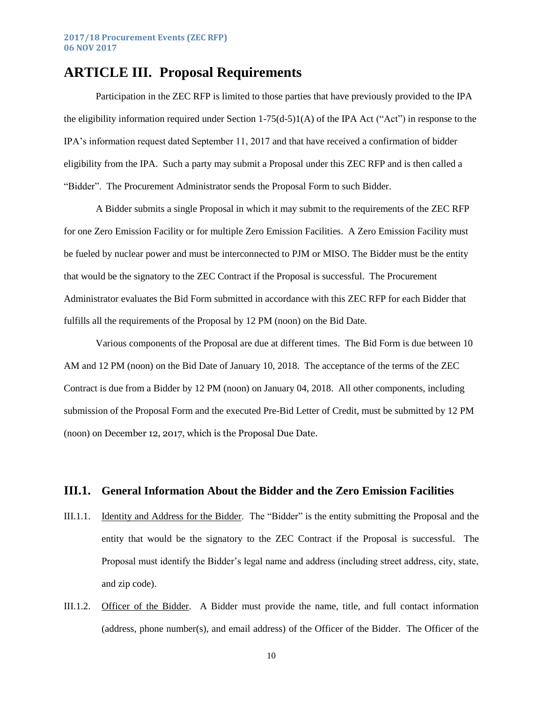# <span id="page-10-0"></span>**ARTICLE III. Proposal Requirements**

Participation in the ZEC RFP is limited to those parties that have previously provided to the IPA the eligibility information required under Section  $1-75(d-5)1(A)$  of the IPA Act ("Act") in response to the IPA's information request dated September 11, 2017 and that have received a confirmation of bidder eligibility from the IPA. Such a party may submit a Proposal under this ZEC RFP and is then called a "Bidder". The Procurement Administrator sends the Proposal Form to such Bidder.

A Bidder submits a single Proposal in which it may submit to the requirements of the ZEC RFP for one Zero Emission Facility or for multiple Zero Emission Facilities. A Zero Emission Facility must be fueled by nuclear power and must be interconnected to PJM or MISO. The Bidder must be the entity that would be the signatory to the ZEC Contract if the Proposal is successful. The Procurement Administrator evaluates the Bid Form submitted in accordance with this ZEC RFP for each Bidder that fulfills all the requirements of the Proposal by 12 PM (noon) on the Bid Date.

Various components of the Proposal are due at different times. The Bid Form is due between 10 AM and 12 PM (noon) on the Bid Date of January 10, 2018. The acceptance of the terms of the ZEC Contract is due from a Bidder by 12 PM (noon) on January 04, 2018. All other components, including submission of the Proposal Form and the executed Pre-Bid Letter of Credit, must be submitted by 12 PM (noon) on December 12, 2017, which is the Proposal Due Date.

#### <span id="page-10-1"></span>**III.1. General Information About the Bidder and the Zero Emission Facilities**

- III.1.1. Identity and Address for the Bidder. The "Bidder" is the entity submitting the Proposal and the entity that would be the signatory to the ZEC Contract if the Proposal is successful. The Proposal must identify the Bidder's legal name and address (including street address, city, state, and zip code).
- III.1.2. Officer of the Bidder. A Bidder must provide the name, title, and full contact information (address, phone number(s), and email address) of the Officer of the Bidder. The Officer of the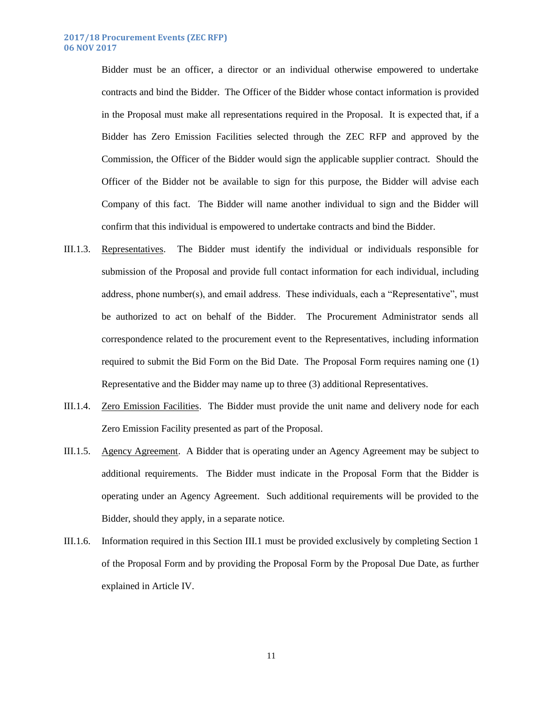Bidder must be an officer, a director or an individual otherwise empowered to undertake contracts and bind the Bidder. The Officer of the Bidder whose contact information is provided in the Proposal must make all representations required in the Proposal. It is expected that, if a Bidder has Zero Emission Facilities selected through the ZEC RFP and approved by the Commission, the Officer of the Bidder would sign the applicable supplier contract. Should the Officer of the Bidder not be available to sign for this purpose, the Bidder will advise each Company of this fact. The Bidder will name another individual to sign and the Bidder will confirm that this individual is empowered to undertake contracts and bind the Bidder.

- III.1.3. Representatives. The Bidder must identify the individual or individuals responsible for submission of the Proposal and provide full contact information for each individual, including address, phone number(s), and email address. These individuals, each a "Representative", must be authorized to act on behalf of the Bidder. The Procurement Administrator sends all correspondence related to the procurement event to the Representatives, including information required to submit the Bid Form on the Bid Date. The Proposal Form requires naming one (1) Representative and the Bidder may name up to three (3) additional Representatives.
- III.1.4. Zero Emission Facilities. The Bidder must provide the unit name and delivery node for each Zero Emission Facility presented as part of the Proposal.
- III.1.5. Agency Agreement. A Bidder that is operating under an Agency Agreement may be subject to additional requirements. The Bidder must indicate in the Proposal Form that the Bidder is operating under an Agency Agreement. Such additional requirements will be provided to the Bidder, should they apply, in a separate notice.
- III.1.6. Information required in this Section [III.1](#page-10-1) must be provided exclusively by completing Section 1 of the Proposal Form and by providing the Proposal Form by the Proposal Due Date, as further explained in [Article IV.](#page-20-0)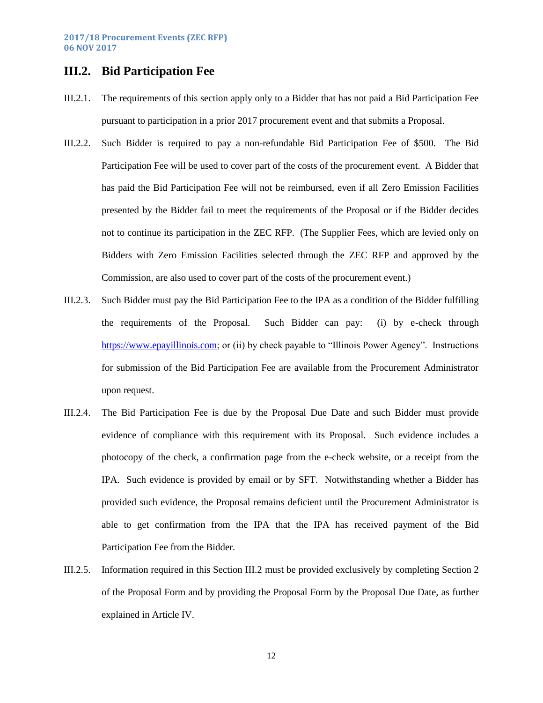# <span id="page-12-0"></span>**III.2. Bid Participation Fee**

- III.2.1. The requirements of this section apply only to a Bidder that has not paid a Bid Participation Fee pursuant to participation in a prior 2017 procurement event and that submits a Proposal.
- III.2.2. Such Bidder is required to pay a non-refundable Bid Participation Fee of \$500. The Bid Participation Fee will be used to cover part of the costs of the procurement event. A Bidder that has paid the Bid Participation Fee will not be reimbursed, even if all Zero Emission Facilities presented by the Bidder fail to meet the requirements of the Proposal or if the Bidder decides not to continue its participation in the ZEC RFP. (The Supplier Fees, which are levied only on Bidders with Zero Emission Facilities selected through the ZEC RFP and approved by the Commission, are also used to cover part of the costs of the procurement event.)
- III.2.3. Such Bidder must pay the Bid Participation Fee to the IPA as a condition of the Bidder fulfilling the requirements of the Proposal. Such Bidder can pay: (i) by e-check through [https://www.epayillinois.com;](https://www.epayillinois.com/) or (ii) by check payable to "Illinois Power Agency". Instructions for submission of the Bid Participation Fee are available from the Procurement Administrator upon request.
- III.2.4. The Bid Participation Fee is due by the Proposal Due Date and such Bidder must provide evidence of compliance with this requirement with its Proposal. Such evidence includes a photocopy of the check, a confirmation page from the e-check website, or a receipt from the IPA. Such evidence is provided by email or by SFT. Notwithstanding whether a Bidder has provided such evidence, the Proposal remains deficient until the Procurement Administrator is able to get confirmation from the IPA that the IPA has received payment of the Bid Participation Fee from the Bidder.
- III.2.5. Information required in this Section [III.2](#page-12-0) must be provided exclusively by completing Section 2 of the Proposal Form and by providing the Proposal Form by the Proposal Due Date, as further explained in [Article IV.](#page-20-0)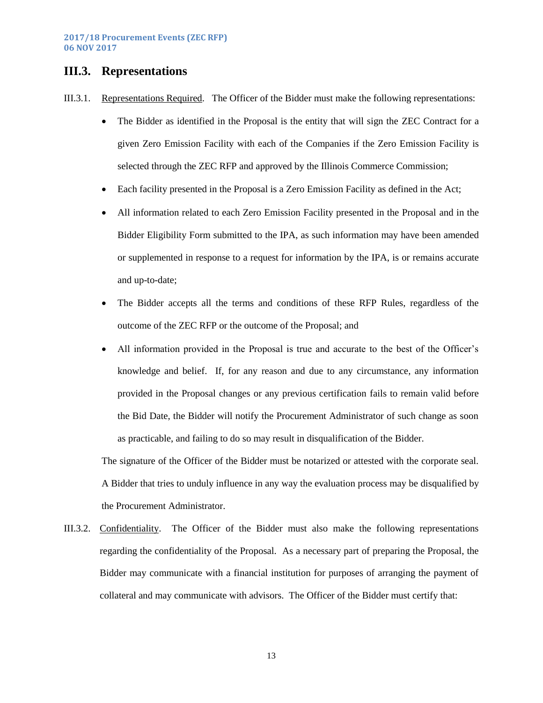## <span id="page-13-0"></span>**III.3. Representations**

- III.3.1. Representations Required. The Officer of the Bidder must make the following representations:
	- The Bidder as identified in the Proposal is the entity that will sign the ZEC Contract for a given Zero Emission Facility with each of the Companies if the Zero Emission Facility is selected through the ZEC RFP and approved by the Illinois Commerce Commission;
	- Each facility presented in the Proposal is a Zero Emission Facility as defined in the Act;
	- All information related to each Zero Emission Facility presented in the Proposal and in the Bidder Eligibility Form submitted to the IPA, as such information may have been amended or supplemented in response to a request for information by the IPA, is or remains accurate and up-to-date;
	- The Bidder accepts all the terms and conditions of these RFP Rules, regardless of the outcome of the ZEC RFP or the outcome of the Proposal; and
	- All information provided in the Proposal is true and accurate to the best of the Officer's knowledge and belief. If, for any reason and due to any circumstance, any information provided in the Proposal changes or any previous certification fails to remain valid before the Bid Date, the Bidder will notify the Procurement Administrator of such change as soon as practicable, and failing to do so may result in disqualification of the Bidder.

The signature of the Officer of the Bidder must be notarized or attested with the corporate seal. A Bidder that tries to unduly influence in any way the evaluation process may be disqualified by the Procurement Administrator.

III.3.2. Confidentiality. The Officer of the Bidder must also make the following representations regarding the confidentiality of the Proposal. As a necessary part of preparing the Proposal, the Bidder may communicate with a financial institution for purposes of arranging the payment of collateral and may communicate with advisors. The Officer of the Bidder must certify that: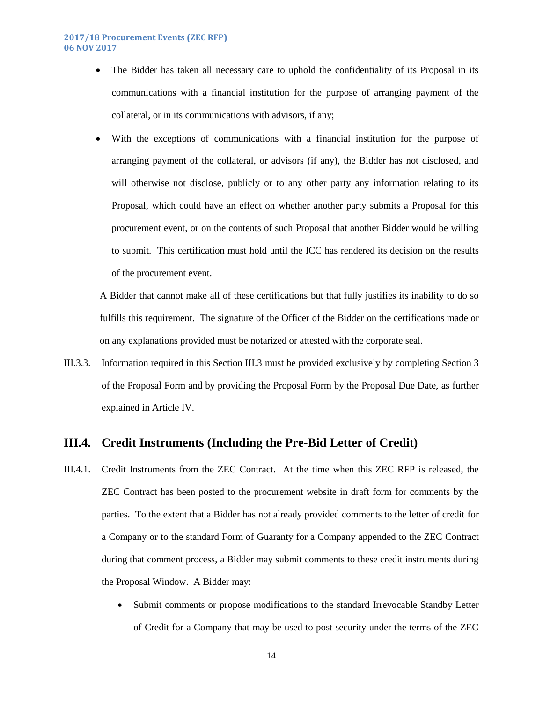• The Bidder has taken all necessary care to uphold the confidentiality of its Proposal in its communications with a financial institution for the purpose of arranging payment of the collateral, or in its communications with advisors, if any;

 With the exceptions of communications with a financial institution for the purpose of arranging payment of the collateral, or advisors (if any), the Bidder has not disclosed, and will otherwise not disclose, publicly or to any other party any information relating to its Proposal, which could have an effect on whether another party submits a Proposal for this procurement event, or on the contents of such Proposal that another Bidder would be willing to submit. This certification must hold until the ICC has rendered its decision on the results of the procurement event.

A Bidder that cannot make all of these certifications but that fully justifies its inability to do so fulfills this requirement. The signature of the Officer of the Bidder on the certifications made or on any explanations provided must be notarized or attested with the corporate seal.

III.3.3. Information required in this Section [III.3](#page-13-0) must be provided exclusively by completing Section 3 of the Proposal Form and by providing the Proposal Form by the Proposal Due Date, as further explained in [Article IV.](#page-20-0)

## <span id="page-14-0"></span>**III.4. Credit Instruments (Including the Pre-Bid Letter of Credit)**

- III.4.1. Credit Instruments from the ZEC Contract. At the time when this ZEC RFP is released, the ZEC Contract has been posted to the procurement website in draft form for comments by the parties. To the extent that a Bidder has not already provided comments to the letter of credit for a Company or to the standard Form of Guaranty for a Company appended to the ZEC Contract during that comment process, a Bidder may submit comments to these credit instruments during the Proposal Window. A Bidder may:
	- Submit comments or propose modifications to the standard Irrevocable Standby Letter of Credit for a Company that may be used to post security under the terms of the ZEC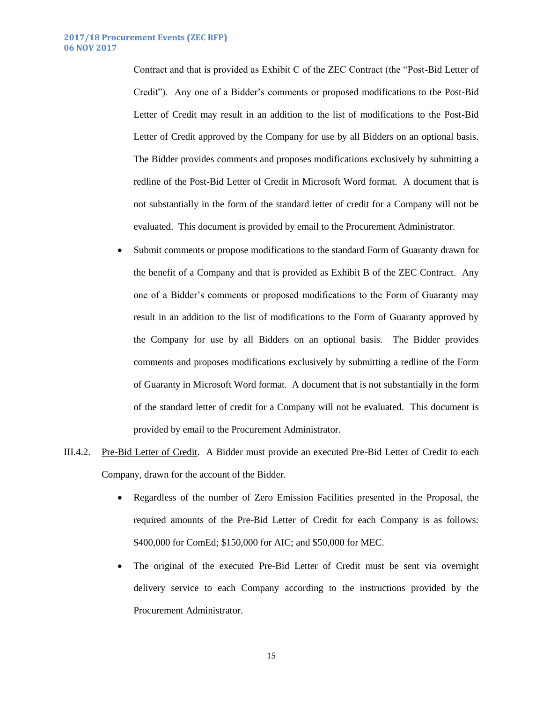Contract and that is provided as Exhibit C of the ZEC Contract (the "Post-Bid Letter of Credit"). Any one of a Bidder's comments or proposed modifications to the Post-Bid Letter of Credit may result in an addition to the list of modifications to the Post-Bid Letter of Credit approved by the Company for use by all Bidders on an optional basis. The Bidder provides comments and proposes modifications exclusively by submitting a redline of the Post-Bid Letter of Credit in Microsoft Word format. A document that is not substantially in the form of the standard letter of credit for a Company will not be evaluated. This document is provided by email to the Procurement Administrator.

- Submit comments or propose modifications to the standard Form of Guaranty drawn for the benefit of a Company and that is provided as Exhibit B of the ZEC Contract. Any one of a Bidder's comments or proposed modifications to the Form of Guaranty may result in an addition to the list of modifications to the Form of Guaranty approved by the Company for use by all Bidders on an optional basis. The Bidder provides comments and proposes modifications exclusively by submitting a redline of the Form of Guaranty in Microsoft Word format. A document that is not substantially in the form of the standard letter of credit for a Company will not be evaluated. This document is provided by email to the Procurement Administrator.
- III.4.2. Pre-Bid Letter of Credit. A Bidder must provide an executed Pre-Bid Letter of Credit to each Company, drawn for the account of the Bidder.
	- Regardless of the number of Zero Emission Facilities presented in the Proposal, the required amounts of the Pre-Bid Letter of Credit for each Company is as follows: \$400,000 for ComEd; \$150,000 for AIC; and \$50,000 for MEC.
	- The original of the executed Pre-Bid Letter of Credit must be sent via overnight delivery service to each Company according to the instructions provided by the Procurement Administrator.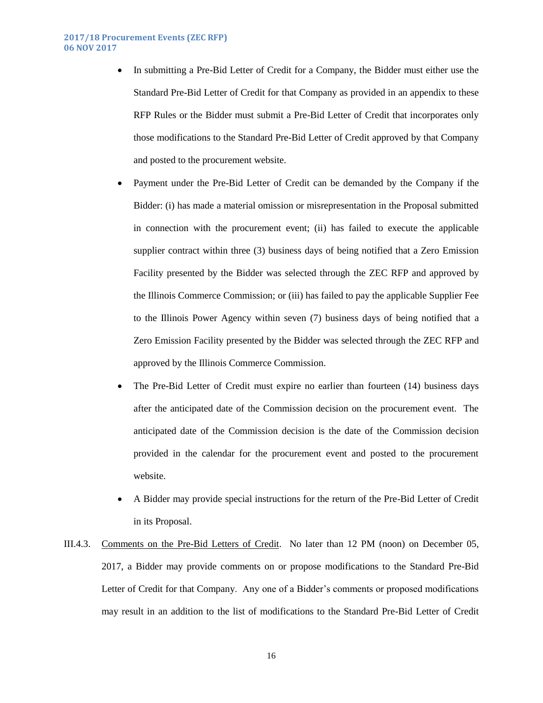#### **2017/18 Procurement Events (ZEC RFP) 06 NOV 2017**

• In submitting a Pre-Bid Letter of Credit for a Company, the Bidder must either use the Standard Pre-Bid Letter of Credit for that Company as provided in an appendix to these RFP Rules or the Bidder must submit a Pre-Bid Letter of Credit that incorporates only those modifications to the Standard Pre-Bid Letter of Credit approved by that Company and posted to the procurement website.

 Payment under the Pre-Bid Letter of Credit can be demanded by the Company if the Bidder: (i) has made a material omission or misrepresentation in the Proposal submitted in connection with the procurement event; (ii) has failed to execute the applicable supplier contract within three (3) business days of being notified that a Zero Emission Facility presented by the Bidder was selected through the ZEC RFP and approved by the Illinois Commerce Commission; or (iii) has failed to pay the applicable Supplier Fee to the Illinois Power Agency within seven (7) business days of being notified that a Zero Emission Facility presented by the Bidder was selected through the ZEC RFP and approved by the Illinois Commerce Commission.

- The Pre-Bid Letter of Credit must expire no earlier than fourteen (14) business days after the anticipated date of the Commission decision on the procurement event. The anticipated date of the Commission decision is the date of the Commission decision provided in the calendar for the procurement event and posted to the procurement website.
- A Bidder may provide special instructions for the return of the Pre-Bid Letter of Credit in its Proposal.
- III.4.3. Comments on the Pre-Bid Letters of Credit. No later than 12 PM (noon) on December 05, 2017, a Bidder may provide comments on or propose modifications to the Standard Pre-Bid Letter of Credit for that Company. Any one of a Bidder's comments or proposed modifications may result in an addition to the list of modifications to the Standard Pre-Bid Letter of Credit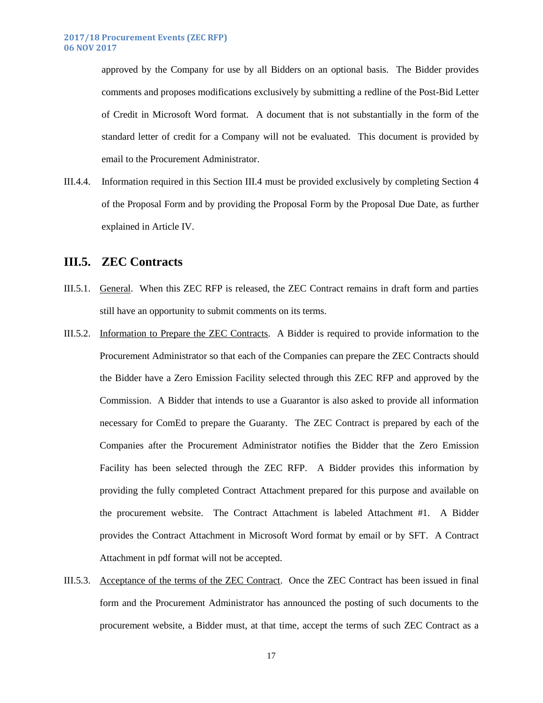approved by the Company for use by all Bidders on an optional basis. The Bidder provides comments and proposes modifications exclusively by submitting a redline of the Post-Bid Letter of Credit in Microsoft Word format. A document that is not substantially in the form of the standard letter of credit for a Company will not be evaluated. This document is provided by email to the Procurement Administrator.

III.4.4. Information required in this Section [III.4](#page-14-0) must be provided exclusively by completing Section 4 of the Proposal Form and by providing the Proposal Form by the Proposal Due Date, as further explained in [Article IV.](#page-20-0)

### <span id="page-17-0"></span>**III.5. ZEC Contracts**

- III.5.1. General. When this ZEC RFP is released, the ZEC Contract remains in draft form and parties still have an opportunity to submit comments on its terms.
- III.5.2. Information to Prepare the ZEC Contracts. A Bidder is required to provide information to the Procurement Administrator so that each of the Companies can prepare the ZEC Contracts should the Bidder have a Zero Emission Facility selected through this ZEC RFP and approved by the Commission. A Bidder that intends to use a Guarantor is also asked to provide all information necessary for ComEd to prepare the Guaranty. The ZEC Contract is prepared by each of the Companies after the Procurement Administrator notifies the Bidder that the Zero Emission Facility has been selected through the ZEC RFP. A Bidder provides this information by providing the fully completed Contract Attachment prepared for this purpose and available on the procurement website. The Contract Attachment is labeled Attachment #1. A Bidder provides the Contract Attachment in Microsoft Word format by email or by SFT. A Contract Attachment in pdf format will not be accepted.
- III.5.3. Acceptance of the terms of the ZEC Contract. Once the ZEC Contract has been issued in final form and the Procurement Administrator has announced the posting of such documents to the procurement website, a Bidder must, at that time, accept the terms of such ZEC Contract as a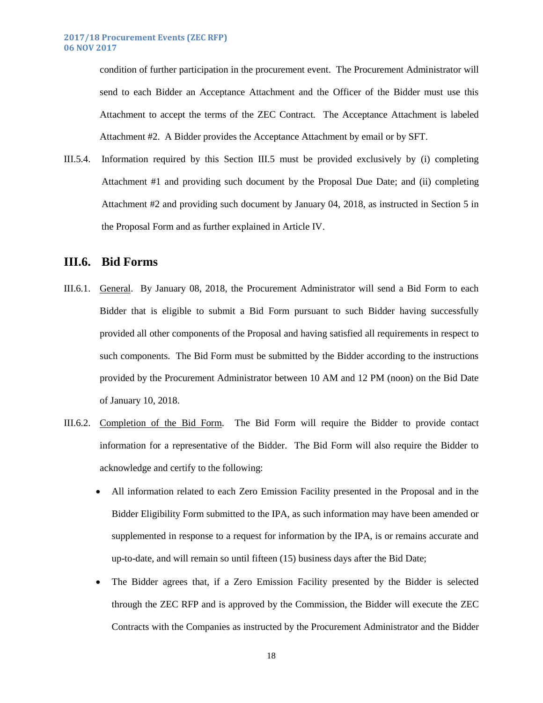condition of further participation in the procurement event. The Procurement Administrator will send to each Bidder an Acceptance Attachment and the Officer of the Bidder must use this Attachment to accept the terms of the ZEC Contract. The Acceptance Attachment is labeled Attachment #2. A Bidder provides the Acceptance Attachment by email or by SFT.

III.5.4. Information required by this Section [III.5](#page-17-0) must be provided exclusively by (i) completing Attachment #1 and providing such document by the Proposal Due Date; and (ii) completing Attachment #2 and providing such document by January 04, 2018, as instructed in Section 5 in the Proposal Form and as further explained in [Article IV.](#page-20-0)

## <span id="page-18-0"></span>**III.6. Bid Forms**

- III.6.1. General. By January 08, 2018, the Procurement Administrator will send a Bid Form to each Bidder that is eligible to submit a Bid Form pursuant to such Bidder having successfully provided all other components of the Proposal and having satisfied all requirements in respect to such components. The Bid Form must be submitted by the Bidder according to the instructions provided by the Procurement Administrator between 10 AM and 12 PM (noon) on the Bid Date of January 10, 2018.
- III.6.2. Completion of the Bid Form. The Bid Form will require the Bidder to provide contact information for a representative of the Bidder. The Bid Form will also require the Bidder to acknowledge and certify to the following:
	- All information related to each Zero Emission Facility presented in the Proposal and in the Bidder Eligibility Form submitted to the IPA, as such information may have been amended or supplemented in response to a request for information by the IPA, is or remains accurate and up-to-date, and will remain so until fifteen (15) business days after the Bid Date;
	- The Bidder agrees that, if a Zero Emission Facility presented by the Bidder is selected through the ZEC RFP and is approved by the Commission, the Bidder will execute the ZEC Contracts with the Companies as instructed by the Procurement Administrator and the Bidder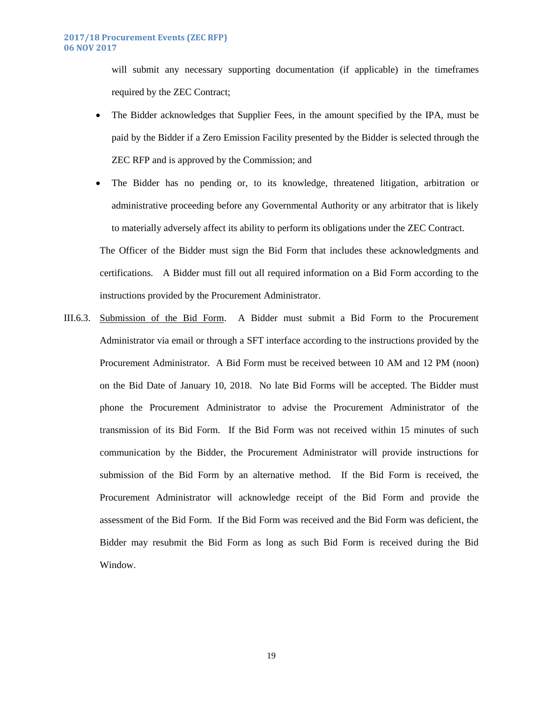will submit any necessary supporting documentation (if applicable) in the timeframes required by the ZEC Contract;

• The Bidder acknowledges that Supplier Fees, in the amount specified by the IPA, must be paid by the Bidder if a Zero Emission Facility presented by the Bidder is selected through the ZEC RFP and is approved by the Commission; and

 The Bidder has no pending or, to its knowledge, threatened litigation, arbitration or administrative proceeding before any Governmental Authority or any arbitrator that is likely to materially adversely affect its ability to perform its obligations under the ZEC Contract. The Officer of the Bidder must sign the Bid Form that includes these acknowledgments and certifications. A Bidder must fill out all required information on a Bid Form according to the instructions provided by the Procurement Administrator.

III.6.3. Submission of the Bid Form. A Bidder must submit a Bid Form to the Procurement Administrator via email or through a SFT interface according to the instructions provided by the Procurement Administrator. A Bid Form must be received between 10 AM and 12 PM (noon) on the Bid Date of January 10, 2018. No late Bid Forms will be accepted. The Bidder must phone the Procurement Administrator to advise the Procurement Administrator of the transmission of its Bid Form. If the Bid Form was not received within 15 minutes of such communication by the Bidder, the Procurement Administrator will provide instructions for submission of the Bid Form by an alternative method. If the Bid Form is received, the Procurement Administrator will acknowledge receipt of the Bid Form and provide the assessment of the Bid Form. If the Bid Form was received and the Bid Form was deficient, the Bidder may resubmit the Bid Form as long as such Bid Form is received during the Bid Window.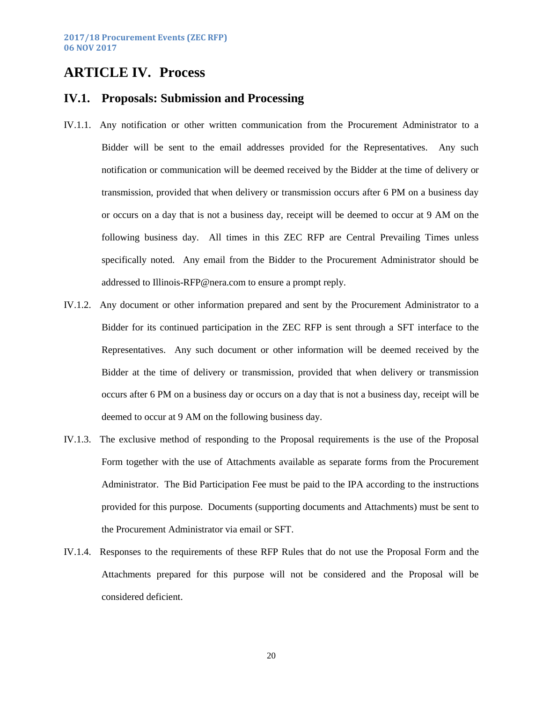# <span id="page-20-0"></span>**ARTICLE IV. Process**

### <span id="page-20-1"></span>**IV.1. Proposals: Submission and Processing**

- IV.1.1. Any notification or other written communication from the Procurement Administrator to a Bidder will be sent to the email addresses provided for the Representatives. Any such notification or communication will be deemed received by the Bidder at the time of delivery or transmission, provided that when delivery or transmission occurs after 6 PM on a business day or occurs on a day that is not a business day, receipt will be deemed to occur at 9 AM on the following business day. All times in this ZEC RFP are Central Prevailing Times unless specifically noted. Any email from the Bidder to the Procurement Administrator should be addressed to [Illinois-RFP@nera.com](mailto:Illinois-RFP@nera.com) to ensure a prompt reply.
- IV.1.2. Any document or other information prepared and sent by the Procurement Administrator to a Bidder for its continued participation in the ZEC RFP is sent through a SFT interface to the Representatives. Any such document or other information will be deemed received by the Bidder at the time of delivery or transmission, provided that when delivery or transmission occurs after 6 PM on a business day or occurs on a day that is not a business day, receipt will be deemed to occur at 9 AM on the following business day.
- IV.1.3. The exclusive method of responding to the Proposal requirements is the use of the Proposal Form together with the use of Attachments available as separate forms from the Procurement Administrator. The Bid Participation Fee must be paid to the IPA according to the instructions provided for this purpose. Documents (supporting documents and Attachments) must be sent to the Procurement Administrator via email or SFT.
- IV.1.4. Responses to the requirements of these RFP Rules that do not use the Proposal Form and the Attachments prepared for this purpose will not be considered and the Proposal will be considered deficient.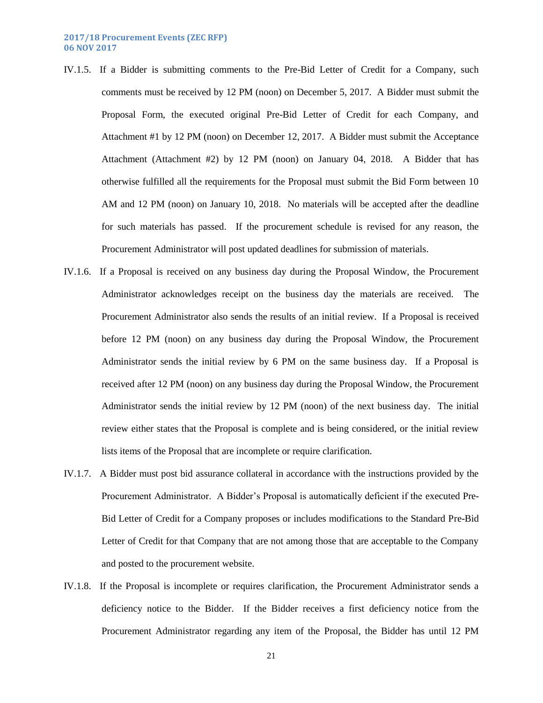- IV.1.5. If a Bidder is submitting comments to the Pre-Bid Letter of Credit for a Company, such comments must be received by 12 PM (noon) on December 5, 2017. A Bidder must submit the Proposal Form, the executed original Pre-Bid Letter of Credit for each Company, and Attachment #1 by 12 PM (noon) on December 12, 2017. A Bidder must submit the Acceptance Attachment (Attachment #2) by 12 PM (noon) on January 04, 2018. A Bidder that has otherwise fulfilled all the requirements for the Proposal must submit the Bid Form between 10 AM and 12 PM (noon) on January 10, 2018. No materials will be accepted after the deadline for such materials has passed. If the procurement schedule is revised for any reason, the Procurement Administrator will post updated deadlines for submission of materials.
- IV.1.6. If a Proposal is received on any business day during the Proposal Window, the Procurement Administrator acknowledges receipt on the business day the materials are received. The Procurement Administrator also sends the results of an initial review. If a Proposal is received before 12 PM (noon) on any business day during the Proposal Window, the Procurement Administrator sends the initial review by 6 PM on the same business day. If a Proposal is received after 12 PM (noon) on any business day during the Proposal Window, the Procurement Administrator sends the initial review by 12 PM (noon) of the next business day. The initial review either states that the Proposal is complete and is being considered, or the initial review lists items of the Proposal that are incomplete or require clarification.
- IV.1.7. A Bidder must post bid assurance collateral in accordance with the instructions provided by the Procurement Administrator. A Bidder's Proposal is automatically deficient if the executed Pre-Bid Letter of Credit for a Company proposes or includes modifications to the Standard Pre-Bid Letter of Credit for that Company that are not among those that are acceptable to the Company and posted to the procurement website.
- IV.1.8. If the Proposal is incomplete or requires clarification, the Procurement Administrator sends a deficiency notice to the Bidder. If the Bidder receives a first deficiency notice from the Procurement Administrator regarding any item of the Proposal, the Bidder has until 12 PM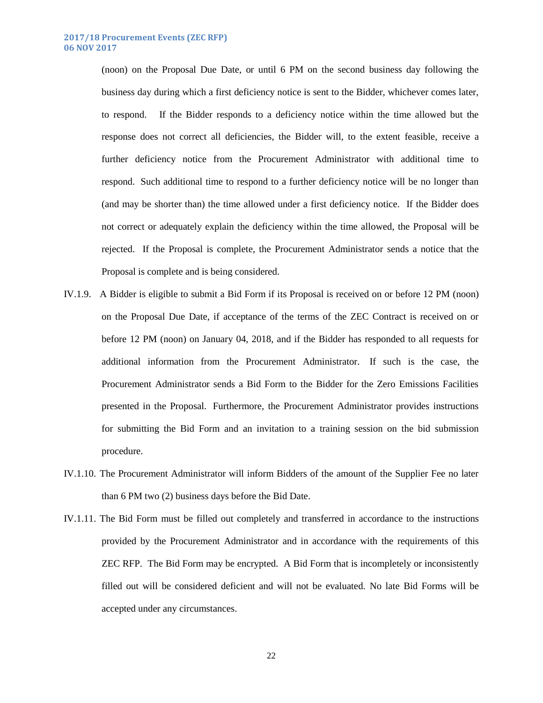(noon) on the Proposal Due Date, or until 6 PM on the second business day following the business day during which a first deficiency notice is sent to the Bidder, whichever comes later, to respond. If the Bidder responds to a deficiency notice within the time allowed but the response does not correct all deficiencies, the Bidder will, to the extent feasible, receive a further deficiency notice from the Procurement Administrator with additional time to respond. Such additional time to respond to a further deficiency notice will be no longer than (and may be shorter than) the time allowed under a first deficiency notice. If the Bidder does not correct or adequately explain the deficiency within the time allowed, the Proposal will be rejected. If the Proposal is complete, the Procurement Administrator sends a notice that the Proposal is complete and is being considered.

- IV.1.9. A Bidder is eligible to submit a Bid Form if its Proposal is received on or before 12 PM (noon) on the Proposal Due Date, if acceptance of the terms of the ZEC Contract is received on or before 12 PM (noon) on January 04, 2018, and if the Bidder has responded to all requests for additional information from the Procurement Administrator. If such is the case, the Procurement Administrator sends a Bid Form to the Bidder for the Zero Emissions Facilities presented in the Proposal. Furthermore, the Procurement Administrator provides instructions for submitting the Bid Form and an invitation to a training session on the bid submission procedure.
- IV.1.10. The Procurement Administrator will inform Bidders of the amount of the Supplier Fee no later than 6 PM two (2) business days before the Bid Date.
- IV.1.11. The Bid Form must be filled out completely and transferred in accordance to the instructions provided by the Procurement Administrator and in accordance with the requirements of this ZEC RFP. The Bid Form may be encrypted. A Bid Form that is incompletely or inconsistently filled out will be considered deficient and will not be evaluated. No late Bid Forms will be accepted under any circumstances.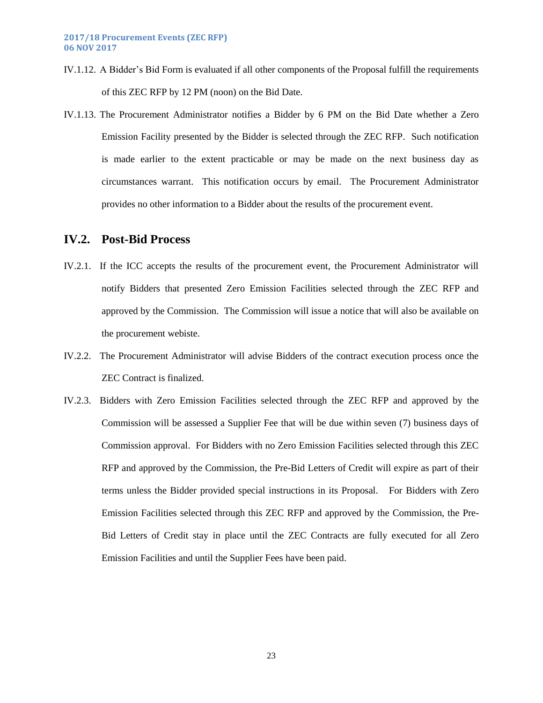- IV.1.12. A Bidder's Bid Form is evaluated if all other components of the Proposal fulfill the requirements of this ZEC RFP by 12 PM (noon) on the Bid Date.
- IV.1.13. The Procurement Administrator notifies a Bidder by 6 PM on the Bid Date whether a Zero Emission Facility presented by the Bidder is selected through the ZEC RFP. Such notification is made earlier to the extent practicable or may be made on the next business day as circumstances warrant. This notification occurs by email. The Procurement Administrator provides no other information to a Bidder about the results of the procurement event.

#### <span id="page-23-0"></span>**IV.2. Post-Bid Process**

- IV.2.1. If the ICC accepts the results of the procurement event, the Procurement Administrator will notify Bidders that presented Zero Emission Facilities selected through the ZEC RFP and approved by the Commission. The Commission will issue a notice that will also be available on the procurement webiste.
- IV.2.2. The Procurement Administrator will advise Bidders of the contract execution process once the ZEC Contract is finalized.
- IV.2.3. Bidders with Zero Emission Facilities selected through the ZEC RFP and approved by the Commission will be assessed a Supplier Fee that will be due within seven (7) business days of Commission approval. For Bidders with no Zero Emission Facilities selected through this ZEC RFP and approved by the Commission, the Pre-Bid Letters of Credit will expire as part of their terms unless the Bidder provided special instructions in its Proposal. For Bidders with Zero Emission Facilities selected through this ZEC RFP and approved by the Commission, the Pre-Bid Letters of Credit stay in place until the ZEC Contracts are fully executed for all Zero Emission Facilities and until the Supplier Fees have been paid.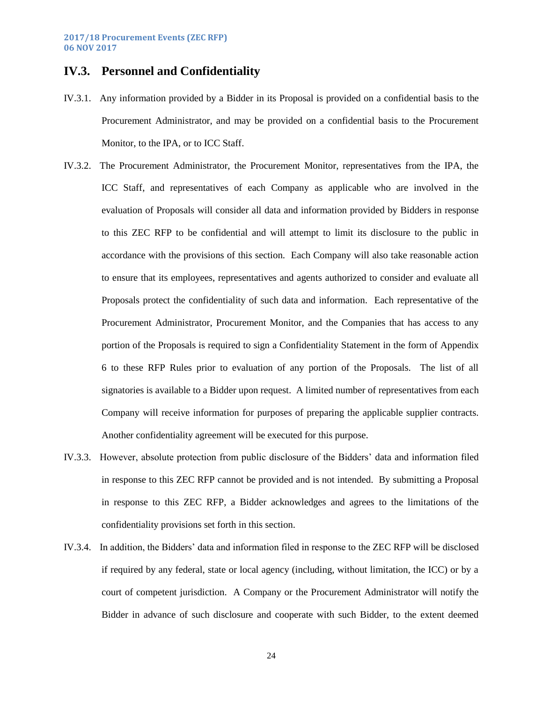# <span id="page-24-0"></span>**IV.3. Personnel and Confidentiality**

- IV.3.1. Any information provided by a Bidder in its Proposal is provided on a confidential basis to the Procurement Administrator, and may be provided on a confidential basis to the Procurement Monitor, to the IPA, or to ICC Staff.
- IV.3.2. The Procurement Administrator, the Procurement Monitor, representatives from the IPA, the ICC Staff, and representatives of each Company as applicable who are involved in the evaluation of Proposals will consider all data and information provided by Bidders in response to this ZEC RFP to be confidential and will attempt to limit its disclosure to the public in accordance with the provisions of this section. Each Company will also take reasonable action to ensure that its employees, representatives and agents authorized to consider and evaluate all Proposals protect the confidentiality of such data and information. Each representative of the Procurement Administrator, Procurement Monitor, and the Companies that has access to any portion of the Proposals is required to sign a Confidentiality Statement in the form of Appendix 6 to these RFP Rules prior to evaluation of any portion of the Proposals. The list of all signatories is available to a Bidder upon request. A limited number of representatives from each Company will receive information for purposes of preparing the applicable supplier contracts. Another confidentiality agreement will be executed for this purpose.
- IV.3.3. However, absolute protection from public disclosure of the Bidders' data and information filed in response to this ZEC RFP cannot be provided and is not intended. By submitting a Proposal in response to this ZEC RFP, a Bidder acknowledges and agrees to the limitations of the confidentiality provisions set forth in this section.
- IV.3.4. In addition, the Bidders' data and information filed in response to the ZEC RFP will be disclosed if required by any federal, state or local agency (including, without limitation, the ICC) or by a court of competent jurisdiction. A Company or the Procurement Administrator will notify the Bidder in advance of such disclosure and cooperate with such Bidder, to the extent deemed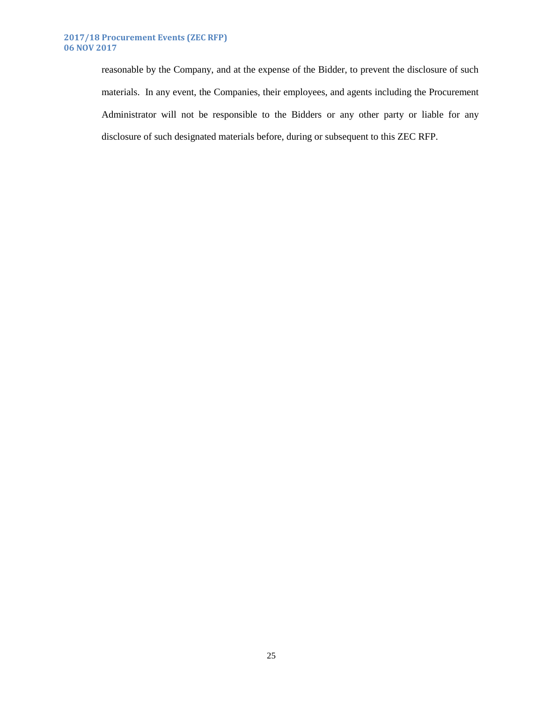#### **2017/18 Procurement Events (ZEC RFP) 06 NOV 2017**

reasonable by the Company, and at the expense of the Bidder, to prevent the disclosure of such materials. In any event, the Companies, their employees, and agents including the Procurement Administrator will not be responsible to the Bidders or any other party or liable for any disclosure of such designated materials before, during or subsequent to this ZEC RFP.